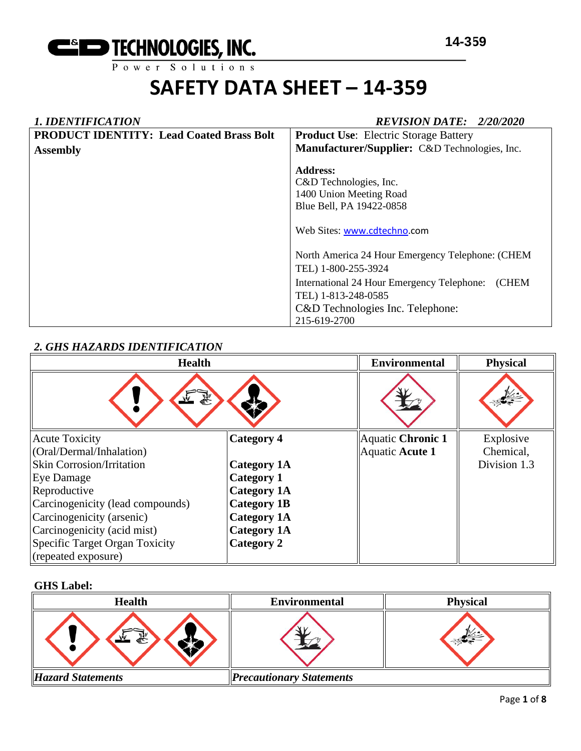

#### *1. IDENTIFICATION REVISION DATE: 2/20/2020* **PRODUCT IDENTITY: Lead Coated Brass Bolt Assembly Product Use**: Electric Storage Battery **Manufacturer/Supplier:** C&D Technologies, Inc. **Address:**  C&D Technologies, Inc. 1400 Union Meeting Road Blue Bell, PA 19422-0858 Web Sites: [www.cdtechno.](http://www.cdtechno/)com North America 24 Hour Emergency Telephone: (CHEM TEL) 1-800-255-3924 International 24 Hour Emergency Telephone: (CHEM TEL) 1-813-248-0585 C&D Technologies Inc. Telephone: 215-619-2700

### *2. GHS HAZARDS IDENTIFICATION*

| <b>Health</b>                    |                    | <b>Environmental</b> | <b>Physical</b> |
|----------------------------------|--------------------|----------------------|-----------------|
|                                  |                    |                      |                 |
| <b>Acute Toxicity</b>            | <b>Category 4</b>  | Aquatic Chronic 1    | Explosive       |
| (Oral/Dermal/Inhalation)         |                    | Aquatic Acute 1      | Chemical,       |
| <b>Skin Corrosion/Irritation</b> | <b>Category 1A</b> |                      | Division 1.3    |
| <b>Eye Damage</b>                | <b>Category 1</b>  |                      |                 |
| Reproductive                     | <b>Category 1A</b> |                      |                 |
| Carcinogenicity (lead compounds) | <b>Category 1B</b> |                      |                 |
| Carcinogenicity (arsenic)        | <b>Category 1A</b> |                      |                 |
| Carcinogenicity (acid mist)      | <b>Category 1A</b> |                      |                 |
| Specific Target Organ Toxicity   | <b>Category 2</b>  |                      |                 |
| (repeated exposure)              |                    |                      |                 |

#### **GHS Label:**

| <b>Health</b>            | <b>Environmental</b>            | <b>Physical</b> |
|--------------------------|---------------------------------|-----------------|
| 51                       |                                 |                 |
| <b>Hazard Statements</b> | <b>Precautionary Statements</b> |                 |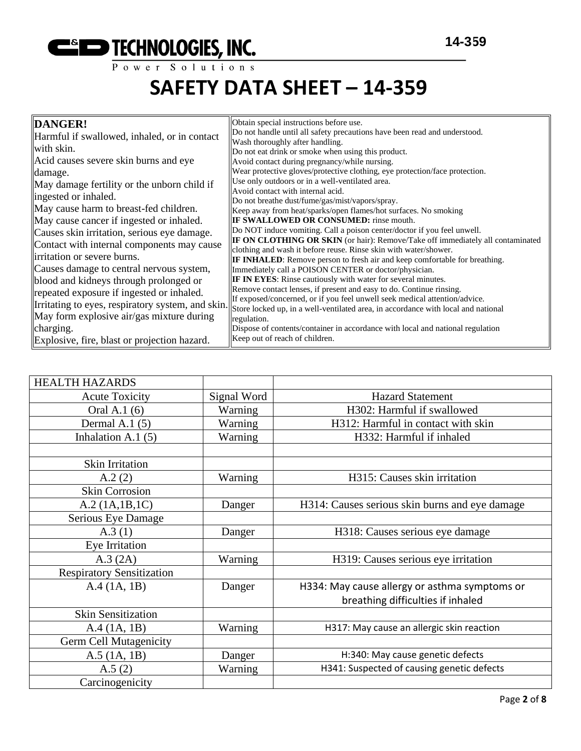

| DANGER!<br>Harmful if swallowed, inhaled, or in contact<br>with skin.<br>Acid causes severe skin burns and eye<br>damage.<br>May damage fertility or the unborn child if<br>ingested or inhaled.<br>May cause harm to breast-fed children.<br>May cause cancer if ingested or inhaled.<br>Causes skin irritation, serious eye damage.<br>Contact with internal components may cause | Obtain special instructions before use.<br>Do not handle until all safety precautions have been read and understood.<br>Wash thoroughly after handling.<br>Do not eat drink or smoke when using this product.<br>Avoid contact during pregnancy/while nursing.<br>Wear protective gloves/protective clothing, eye protection/face protection.<br>Use only outdoors or in a well-ventilated area.<br>Avoid contact with internal acid.<br>Do not breathe dust/fume/gas/mist/vapors/spray.<br>Keep away from heat/sparks/open flames/hot surfaces. No smoking<br><b>IF SWALLOWED OR CONSUMED:</b> rinse mouth.<br>Do NOT induce vomiting. Call a poison center/doctor if you feel unwell.<br><b>IF ON CLOTHING OR SKIN</b> (or hair): Remove/Take off immediately all contaminated |
|-------------------------------------------------------------------------------------------------------------------------------------------------------------------------------------------------------------------------------------------------------------------------------------------------------------------------------------------------------------------------------------|----------------------------------------------------------------------------------------------------------------------------------------------------------------------------------------------------------------------------------------------------------------------------------------------------------------------------------------------------------------------------------------------------------------------------------------------------------------------------------------------------------------------------------------------------------------------------------------------------------------------------------------------------------------------------------------------------------------------------------------------------------------------------------|
| irritation or severe burns.<br>Causes damage to central nervous system,                                                                                                                                                                                                                                                                                                             | <b>IF INHALED:</b> Remove person to fresh air and keep comfortable for breathing.                                                                                                                                                                                                                                                                                                                                                                                                                                                                                                                                                                                                                                                                                                |
| blood and kidneys through prolonged or<br>repeated exposure if ingested or inhaled.<br>Irritating to eyes, respiratory system, and skin.<br>May form explosive air/gas mixture during<br>charging.                                                                                                                                                                                  | Immediately call a POISON CENTER or doctor/physician.<br><b>IF IN EYES:</b> Rinse cautiously with water for several minutes.<br>Remove contact lenses, if present and easy to do. Continue rinsing.<br>If exposed/concerned, or if you feel unwell seek medical attention/advice.<br>Store locked up, in a well-ventilated area, in accordance with local and national<br>regulation.<br>Dispose of contents/container in accordance with local and national regulation                                                                                                                                                                                                                                                                                                          |
| Explosive, fire, blast or projection hazard.                                                                                                                                                                                                                                                                                                                                        | Keep out of reach of children.                                                                                                                                                                                                                                                                                                                                                                                                                                                                                                                                                                                                                                                                                                                                                   |

| <b>HEALTH HAZARDS</b>            |             |                                                |  |
|----------------------------------|-------------|------------------------------------------------|--|
| <b>Acute Toxicity</b>            | Signal Word | <b>Hazard Statement</b>                        |  |
| Oral A.1 (6)                     | Warning     | H302: Harmful if swallowed                     |  |
| Dermal A.1 $(5)$                 | Warning     | H312: Harmful in contact with skin             |  |
| Inhalation A.1 $(5)$             | Warning     | H332: Harmful if inhaled                       |  |
|                                  |             |                                                |  |
| <b>Skin Irritation</b>           |             |                                                |  |
| A.2(2)                           | Warning     | H315: Causes skin irritation                   |  |
| <b>Skin Corrosion</b>            |             |                                                |  |
| A.2 (1A.1B.1C)                   | Danger      | H314: Causes serious skin burns and eye damage |  |
| Serious Eye Damage               |             |                                                |  |
| A.3(1)                           | Danger      | H318: Causes serious eye damage                |  |
| Eye Irritation                   |             |                                                |  |
| A.3 (2A)                         | Warning     | H319: Causes serious eye irritation            |  |
| <b>Respiratory Sensitization</b> |             |                                                |  |
| A.4 (1A, 1B)                     | Danger      | H334: May cause allergy or asthma symptoms or  |  |
|                                  |             | breathing difficulties if inhaled              |  |
| <b>Skin Sensitization</b>        |             |                                                |  |
| A.4 (1A, 1B)                     | Warning     | H317: May cause an allergic skin reaction      |  |
| Germ Cell Mutagenicity           |             |                                                |  |
| $A.5$ (1A, 1B)                   | Danger      | H:340: May cause genetic defects               |  |
| A.5(2)                           | Warning     | H341: Suspected of causing genetic defects     |  |
| Carcinogenicity                  |             |                                                |  |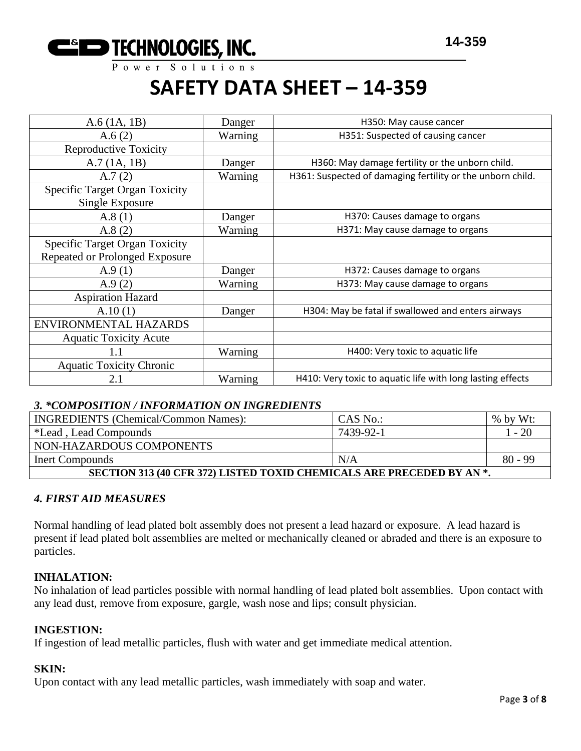

Power Solutions

### **SAFETY DATA SHEET – 14-359**

| $A.6$ (1A, 1B)                                           | Danger  | H350: May cause cancer                                     |
|----------------------------------------------------------|---------|------------------------------------------------------------|
| A.6(2)                                                   | Warning | H351: Suspected of causing cancer                          |
| <b>Reproductive Toxicity</b>                             |         |                                                            |
| A.7(1A, 1B)                                              | Danger  | H360: May damage fertility or the unborn child.            |
| A.7(2)                                                   | Warning | H361: Suspected of damaging fertility or the unborn child. |
| <b>Specific Target Organ Toxicity</b><br>Single Exposure |         |                                                            |
| A.8(1)                                                   | Danger  | H370: Causes damage to organs                              |
| A.8(2)                                                   | Warning | H371: May cause damage to organs                           |
| <b>Specific Target Organ Toxicity</b>                    |         |                                                            |
| Repeated or Prolonged Exposure                           |         |                                                            |
| A.9(1)                                                   | Danger  | H372: Causes damage to organs                              |
| A.9(2)                                                   | Warning | H373: May cause damage to organs                           |
| <b>Aspiration Hazard</b>                                 |         |                                                            |
| A.10(1)                                                  | Danger  | H304: May be fatal if swallowed and enters airways         |
| ENVIRONMENTAL HAZARDS                                    |         |                                                            |
| <b>Aquatic Toxicity Acute</b>                            |         |                                                            |
| 1.1                                                      | Warning | H400: Very toxic to aquatic life                           |
| <b>Aquatic Toxicity Chronic</b>                          |         |                                                            |
| 2.1                                                      | Warning | H410: Very toxic to aquatic life with long lasting effects |

#### *3. \*COMPOSITION / INFORMATION ON INGREDIENTS*

| <b>INGREDIENTS</b> (Chemical/Common Names):                           | CAS No.:  | $%$ by Wt: |  |  |  |
|-----------------------------------------------------------------------|-----------|------------|--|--|--|
| *Lead, Lead Compounds                                                 | 7439-92-1 | $-20$      |  |  |  |
| NON-HAZARDOUS COMPONENTS                                              |           |            |  |  |  |
| $80 - 99$<br>N/A<br>Inert Compounds                                   |           |            |  |  |  |
| SECTION 313 (40 CFR 372) LISTED TOXID CHEMICALS ARE PRECEDED BY AN *. |           |            |  |  |  |

#### *4. FIRST AID MEASURES*

Normal handling of lead plated bolt assembly does not present a lead hazard or exposure. A lead hazard is present if lead plated bolt assemblies are melted or mechanically cleaned or abraded and there is an exposure to particles.

#### **INHALATION:**

No inhalation of lead particles possible with normal handling of lead plated bolt assemblies. Upon contact with any lead dust, remove from exposure, gargle, wash nose and lips; consult physician.

#### **INGESTION:**

If ingestion of lead metallic particles, flush with water and get immediate medical attention.

#### **SKIN:**

Upon contact with any lead metallic particles, wash immediately with soap and water.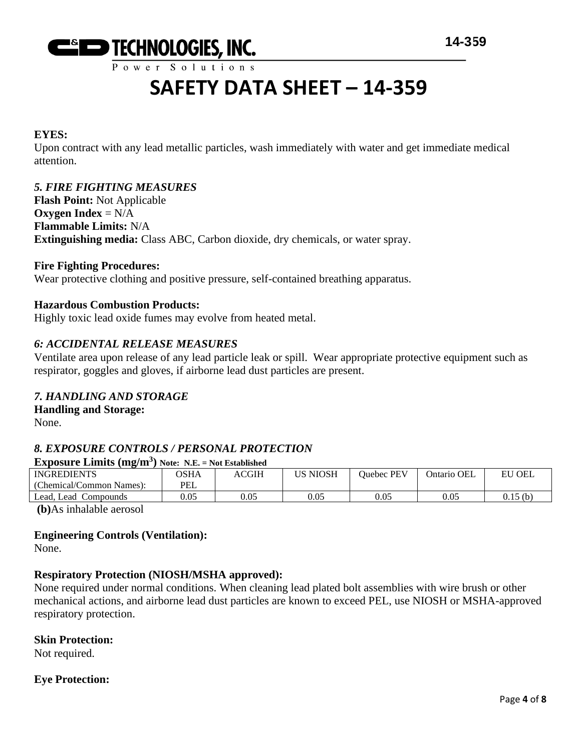

#### **EYES:**

Upon contract with any lead metallic particles, wash immediately with water and get immediate medical attention.

#### *5. FIRE FIGHTING MEASURES*

**Flash Point:** Not Applicable **Oxygen Index** = N/A **Flammable Limits:** N/A **Extinguishing media:** Class ABC, Carbon dioxide, dry chemicals, or water spray.

#### **Fire Fighting Procedures:**

Wear protective clothing and positive pressure, self-contained breathing apparatus.

#### **Hazardous Combustion Products:**

Highly toxic lead oxide fumes may evolve from heated metal.

#### *6: ACCIDENTAL RELEASE MEASURES*

Ventilate area upon release of any lead particle leak or spill. Wear appropriate protective equipment such as respirator, goggles and gloves, if airborne lead dust particles are present.

#### *7. HANDLING AND STORAGE*

#### **Handling and Storage:**

None.

#### *8. EXPOSURE CONTROLS / PERSONAL PROTECTION*

#### **Exposure Limits (mg/m<sup>3</sup> ) Note: N.E. = Not Established**

| $\sqrt{2}$               |             |       |                 |            |             |               |
|--------------------------|-------------|-------|-----------------|------------|-------------|---------------|
| <b>INGREDIENTS</b>       | <b>OSHA</b> | ACGIH | <b>US NIOSH</b> | Ouebec PEV | Ontario OEL | <b>EU OEL</b> |
| (Chemical/Common Names): | PEL         |       |                 |            |             |               |
| Lead, Lead Compounds     | 0.05        | 0.05  | 0.05            | 0.05       | 0.05        | 0.15(b)       |
|                          |             |       |                 |            |             |               |

**(b)**As inhalable aerosol

#### **Engineering Controls (Ventilation):**

None.

#### **Respiratory Protection (NIOSH/MSHA approved):**

None required under normal conditions. When cleaning lead plated bolt assemblies with wire brush or other mechanical actions, and airborne lead dust particles are known to exceed PEL, use NIOSH or MSHA-approved respiratory protection.

#### **Skin Protection:**

Not required.

#### **Eye Protection:**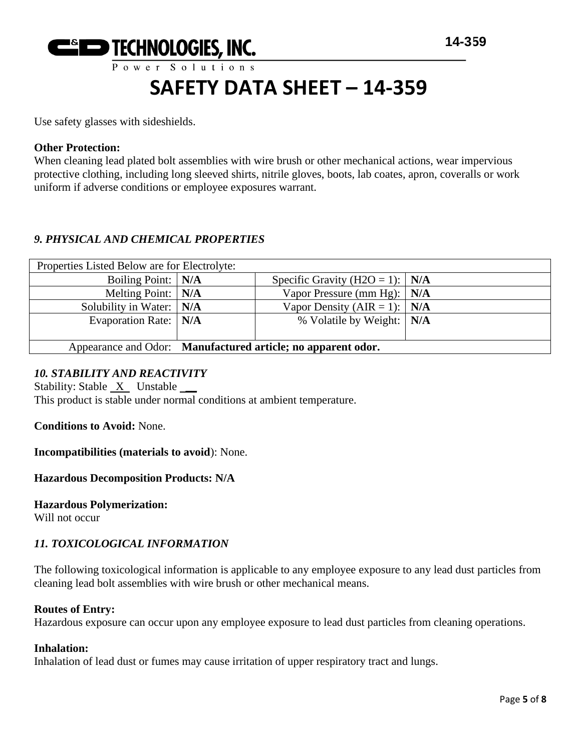

Use safety glasses with sideshields.

#### **Other Protection:**

When cleaning lead plated bolt assemblies with wire brush or other mechanical actions, wear impervious protective clothing, including long sleeved shirts, nitrile gloves, boots, lab coates, apron, coveralls or work uniform if adverse conditions or employee exposures warrant.

#### *9. PHYSICAL AND CHEMICAL PROPERTIES*

| Properties Listed Below are for Electrolyte:                 |  |                                         |  |
|--------------------------------------------------------------|--|-----------------------------------------|--|
| Boiling Point:   N/A                                         |  | Specific Gravity (H2O = 1): $\vert$ N/A |  |
| Melting Point:   N/A                                         |  | Vapor Pressure (mm Hg): $\vert$ N/A     |  |
| Solubility in Water: $\vert$ N/A                             |  | Vapor Density (AIR = 1): $\vert$ N/A    |  |
| Evaporation Rate:   N/A                                      |  | % Volatile by Weight:   N/A             |  |
|                                                              |  |                                         |  |
| Appearance and Odor: Manufactured article; no apparent odor. |  |                                         |  |

#### *10. STABILITY AND REACTIVITY*

Stability: Stable X Unstable This product is stable under normal conditions at ambient temperature.

**Conditions to Avoid:** None.

**Incompatibilities (materials to avoid**): None.

**Hazardous Decomposition Products: N/A**

**Hazardous Polymerization:**

Will not occur

#### *11. TOXICOLOGICAL INFORMATION*

The following toxicological information is applicable to any employee exposure to any lead dust particles from cleaning lead bolt assemblies with wire brush or other mechanical means.

#### **Routes of Entry:**

Hazardous exposure can occur upon any employee exposure to lead dust particles from cleaning operations.

#### **Inhalation:**

Inhalation of lead dust or fumes may cause irritation of upper respiratory tract and lungs.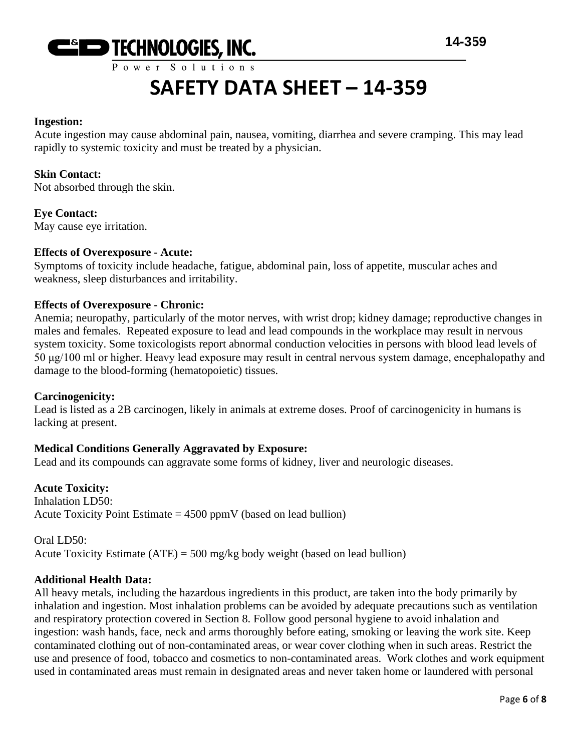

#### **Ingestion:**

Acute ingestion may cause abdominal pain, nausea, vomiting, diarrhea and severe cramping. This may lead rapidly to systemic toxicity and must be treated by a physician.

#### **Skin Contact:**

Not absorbed through the skin.

**Eye Contact:** May cause eye irritation.

### **Effects of Overexposure - Acute:**

Symptoms of toxicity include headache, fatigue, abdominal pain, loss of appetite, muscular aches and weakness, sleep disturbances and irritability.

#### **Effects of Overexposure - Chronic:**

Anemia; neuropathy, particularly of the motor nerves, with wrist drop; kidney damage; reproductive changes in males and females. Repeated exposure to lead and lead compounds in the workplace may result in nervous system toxicity. Some toxicologists report abnormal conduction velocities in persons with blood lead levels of 50 μg/100 ml or higher. Heavy lead exposure may result in central nervous system damage, encephalopathy and damage to the blood-forming (hematopoietic) tissues.

#### **Carcinogenicity:**

Lead is listed as a 2B carcinogen, likely in animals at extreme doses. Proof of carcinogenicity in humans is lacking at present.

#### **Medical Conditions Generally Aggravated by Exposure:**

Lead and its compounds can aggravate some forms of kidney, liver and neurologic diseases.

#### **Acute Toxicity:**

Inhalation LD50: Acute Toxicity Point Estimate  $= 4500$  ppmV (based on lead bullion)

Oral LD50: Acute Toxicity Estimate  $(ATE) = 500$  mg/kg body weight (based on lead bullion)

#### **Additional Health Data:**

All heavy metals, including the hazardous ingredients in this product, are taken into the body primarily by inhalation and ingestion. Most inhalation problems can be avoided by adequate precautions such as ventilation and respiratory protection covered in Section 8. Follow good personal hygiene to avoid inhalation and ingestion: wash hands, face, neck and arms thoroughly before eating, smoking or leaving the work site. Keep contaminated clothing out of non-contaminated areas, or wear cover clothing when in such areas. Restrict the use and presence of food, tobacco and cosmetics to non-contaminated areas. Work clothes and work equipment used in contaminated areas must remain in designated areas and never taken home or laundered with personal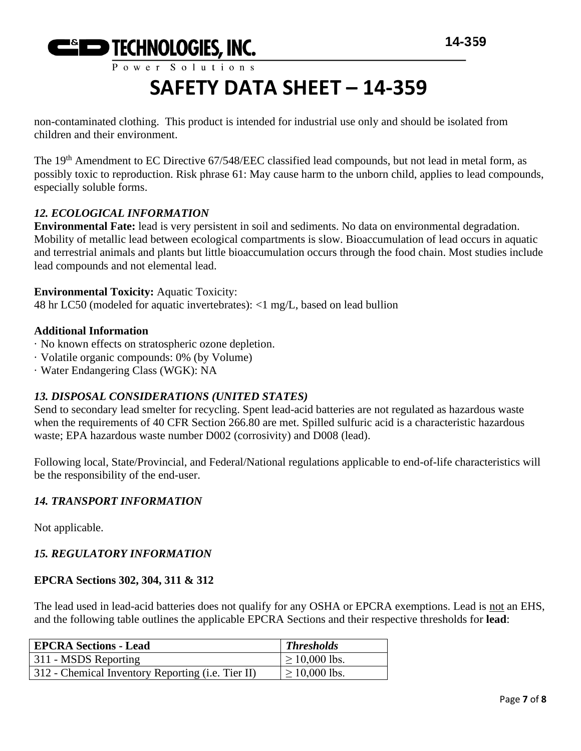

non-contaminated clothing. This product is intended for industrial use only and should be isolated from children and their environment.

The 19<sup>th</sup> Amendment to EC Directive 67/548/EEC classified lead compounds, but not lead in metal form, as possibly toxic to reproduction. Risk phrase 61: May cause harm to the unborn child, applies to lead compounds, especially soluble forms.

#### *12. ECOLOGICAL INFORMATION*

**Environmental Fate:** lead is very persistent in soil and sediments. No data on environmental degradation. Mobility of metallic lead between ecological compartments is slow. Bioaccumulation of lead occurs in aquatic and terrestrial animals and plants but little bioaccumulation occurs through the food chain. Most studies include lead compounds and not elemental lead.

#### **Environmental Toxicity:** Aquatic Toxicity:

48 hr LC50 (modeled for aquatic invertebrates): <1 mg/L, based on lead bullion

#### **Additional Information**

- · No known effects on stratospheric ozone depletion.
- · Volatile organic compounds: 0% (by Volume)
- · Water Endangering Class (WGK): NA

#### *13. DISPOSAL CONSIDERATIONS (UNITED STATES)*

Send to secondary lead smelter for recycling. Spent lead-acid batteries are not regulated as hazardous waste when the requirements of 40 CFR Section 266.80 are met. Spilled sulfuric acid is a characteristic hazardous waste; EPA hazardous waste number D002 (corrosivity) and D008 (lead).

Following local, State/Provincial, and Federal/National regulations applicable to end-of-life characteristics will be the responsibility of the end-user.

#### *14. TRANSPORT INFORMATION*

Not applicable.

#### *15. REGULATORY INFORMATION*

#### **EPCRA Sections 302, 304, 311 & 312**

The lead used in lead-acid batteries does not qualify for any OSHA or EPCRA exemptions. Lead is not an EHS, and the following table outlines the applicable EPCRA Sections and their respective thresholds for **lead**:

| EPCRA Sections - Lead                             | <b>Thresholds</b>  |
|---------------------------------------------------|--------------------|
| 311 - MSDS Reporting                              | $\geq 10,000$ lbs. |
| 312 - Chemical Inventory Reporting (i.e. Tier II) | $\geq 10,000$ lbs. |